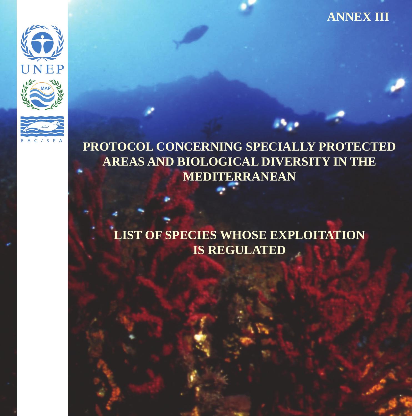#### **ANNEX III**



**PROTOCOL CONCERNING SPECIALLY PROTECTED AREAS AND BIOLOGICAL DIVERSITY IN THE MEDITERRANEAN**

**LIST OF SPECIES WHOSE EXPLOITATION IS REGULATED**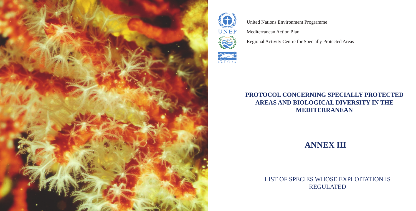#### **PROTOCOL CONCERNING SPECIALLY PROTECTED AREAS AND BIOLOGICAL DIVERSITY IN THE MEDITERRANEAN**

### **ANNEX III**

LIST OF SPECIES WHOSE EXPLOITATION IS REGULATED





United Nations Environment Programme Mediterranean Action Plan

Regional Activity Centre for Specially Protected Areas